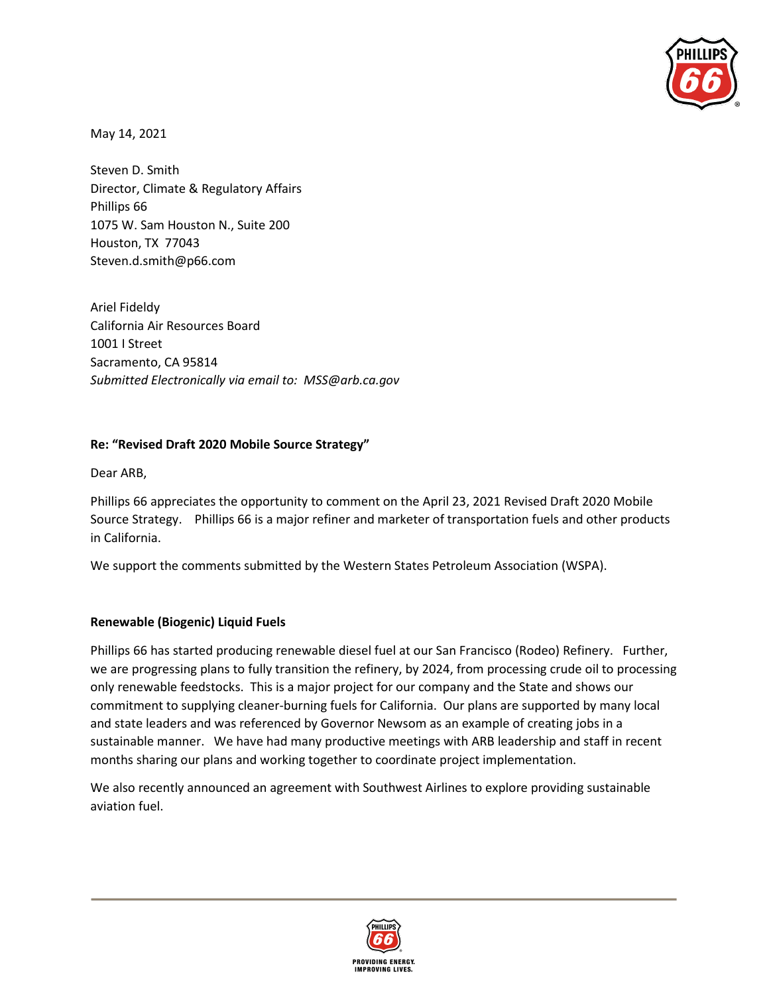

May 14, 2021

Steven D. Smith Director, Climate & Regulatory Affairs Phillips 66 1075 W. Sam Houston N., Suite 200 Houston, TX 77043 Steven.d.smith@p66.com

Ariel Fideldy California Air Resources Board 1001 I Street Sacramento, CA 95814 *Submitted Electronically via email to: MSS@arb.ca.gov*

## **Re: "Revised Draft 2020 Mobile Source Strategy"**

Dear ARB,

Phillips 66 appreciates the opportunity to comment on the April 23, 2021 Revised Draft 2020 Mobile Source Strategy. Phillips 66 is a major refiner and marketer of transportation fuels and other products in California.

We support the comments submitted by the Western States Petroleum Association (WSPA).

## **Renewable (Biogenic) Liquid Fuels**

Phillips 66 has started producing renewable diesel fuel at our San Francisco (Rodeo) Refinery. Further, we are progressing plans to fully transition the refinery, by 2024, from processing crude oil to processing only renewable feedstocks. This is a major project for our company and the State and shows our commitment to supplying cleaner-burning fuels for California. Our plans are supported by many local and state leaders and was referenced by Governor Newsom as an example of creating jobs in a sustainable manner. We have had many productive meetings with ARB leadership and staff in recent months sharing our plans and working together to coordinate project implementation.

We also recently announced an agreement with Southwest Airlines to explore providing sustainable aviation fuel.